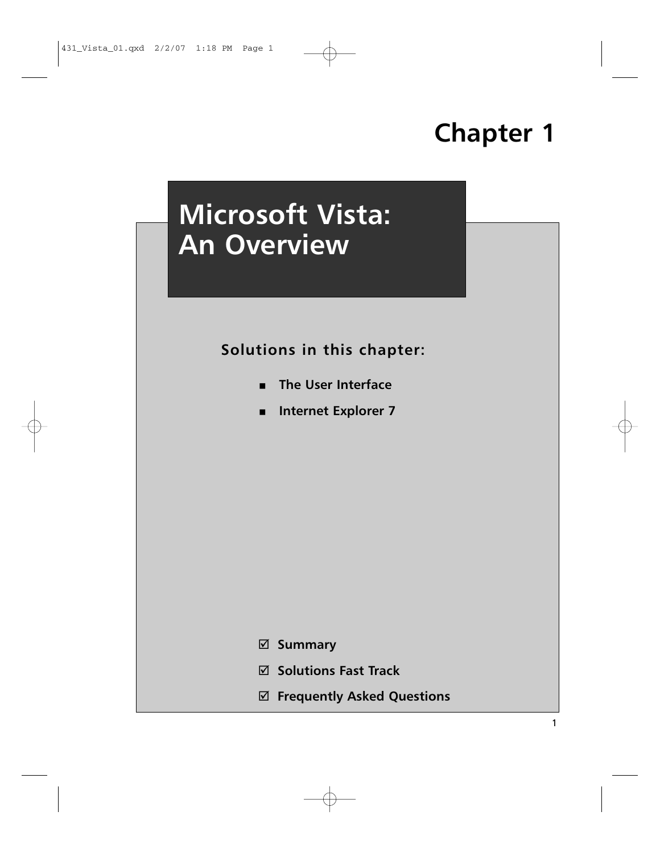# **Chapter 1**

# **Microsoft Vista: An Overview**

### **Solutions in this chapter:**

- **The User Interface**
- **Internet Explorer 7**

- **Summary**
- **Solutions Fast Track**
- **Frequently Asked Questions**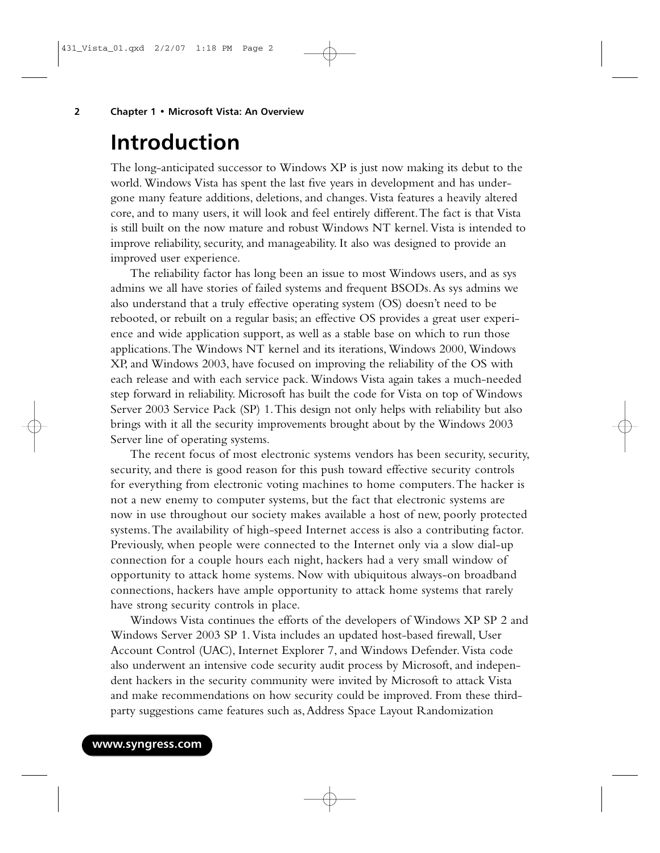### **Introduction**

The long-anticipated successor to Windows XP is just now making its debut to the world. Windows Vista has spent the last five years in development and has undergone many feature additions, deletions, and changes. Vista features a heavily altered core, and to many users, it will look and feel entirely different.The fact is that Vista is still built on the now mature and robust Windows NT kernel. Vista is intended to improve reliability, security, and manageability. It also was designed to provide an improved user experience.

The reliability factor has long been an issue to most Windows users, and as sys admins we all have stories of failed systems and frequent BSODs.As sys admins we also understand that a truly effective operating system (OS) doesn't need to be rebooted, or rebuilt on a regular basis; an effective OS provides a great user experience and wide application support, as well as a stable base on which to run those applications.The Windows NT kernel and its iterations, Windows 2000, Windows XP, and Windows 2003, have focused on improving the reliability of the OS with each release and with each service pack. Windows Vista again takes a much-needed step forward in reliability. Microsoft has built the code for Vista on top of Windows Server 2003 Service Pack (SP) 1.This design not only helps with reliability but also brings with it all the security improvements brought about by the Windows 2003 Server line of operating systems.

The recent focus of most electronic systems vendors has been security, security, security, and there is good reason for this push toward effective security controls for everything from electronic voting machines to home computers.The hacker is not a new enemy to computer systems, but the fact that electronic systems are now in use throughout our society makes available a host of new, poorly protected systems.The availability of high-speed Internet access is also a contributing factor. Previously, when people were connected to the Internet only via a slow dial-up connection for a couple hours each night, hackers had a very small window of opportunity to attack home systems. Now with ubiquitous always-on broadband connections, hackers have ample opportunity to attack home systems that rarely have strong security controls in place.

Windows Vista continues the efforts of the developers of Windows XP SP 2 and Windows Server 2003 SP 1. Vista includes an updated host-based firewall, User Account Control (UAC), Internet Explorer 7, and Windows Defender. Vista code also underwent an intensive code security audit process by Microsoft, and independent hackers in the security community were invited by Microsoft to attack Vista and make recommendations on how security could be improved. From these thirdparty suggestions came features such as,Address Space Layout Randomization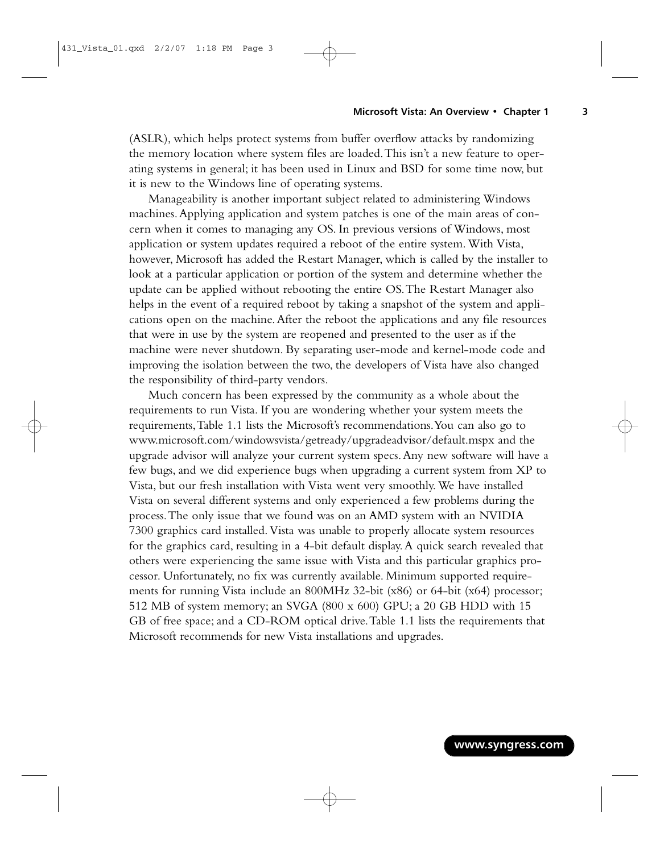(ASLR), which helps protect systems from buffer overflow attacks by randomizing the memory location where system files are loaded.This isn't a new feature to operating systems in general; it has been used in Linux and BSD for some time now, but it is new to the Windows line of operating systems.

Manageability is another important subject related to administering Windows machines.Applying application and system patches is one of the main areas of concern when it comes to managing any OS. In previous versions of Windows, most application or system updates required a reboot of the entire system. With Vista, however, Microsoft has added the Restart Manager, which is called by the installer to look at a particular application or portion of the system and determine whether the update can be applied without rebooting the entire OS.The Restart Manager also helps in the event of a required reboot by taking a snapshot of the system and applications open on the machine.After the reboot the applications and any file resources that were in use by the system are reopened and presented to the user as if the machine were never shutdown. By separating user-mode and kernel-mode code and improving the isolation between the two, the developers of Vista have also changed the responsibility of third-party vendors.

Much concern has been expressed by the community as a whole about the requirements to run Vista. If you are wondering whether your system meets the requirements,Table 1.1 lists the Microsoft's recommendations.You can also go to www.microsoft.com/windowsvista/getready/upgradeadvisor/default.mspx and the upgrade advisor will analyze your current system specs.Any new software will have a few bugs, and we did experience bugs when upgrading a current system from XP to Vista, but our fresh installation with Vista went very smoothly. We have installed Vista on several different systems and only experienced a few problems during the process.The only issue that we found was on an AMD system with an NVIDIA 7300 graphics card installed. Vista was unable to properly allocate system resources for the graphics card, resulting in a 4-bit default display.A quick search revealed that others were experiencing the same issue with Vista and this particular graphics processor. Unfortunately, no fix was currently available. Minimum supported requirements for running Vista include an 800MHz 32-bit (x86) or 64-bit (x64) processor; 512 MB of system memory; an SVGA (800 x 600) GPU; a 20 GB HDD with 15 GB of free space; and a CD-ROM optical drive.Table 1.1 lists the requirements that Microsoft recommends for new Vista installations and upgrades.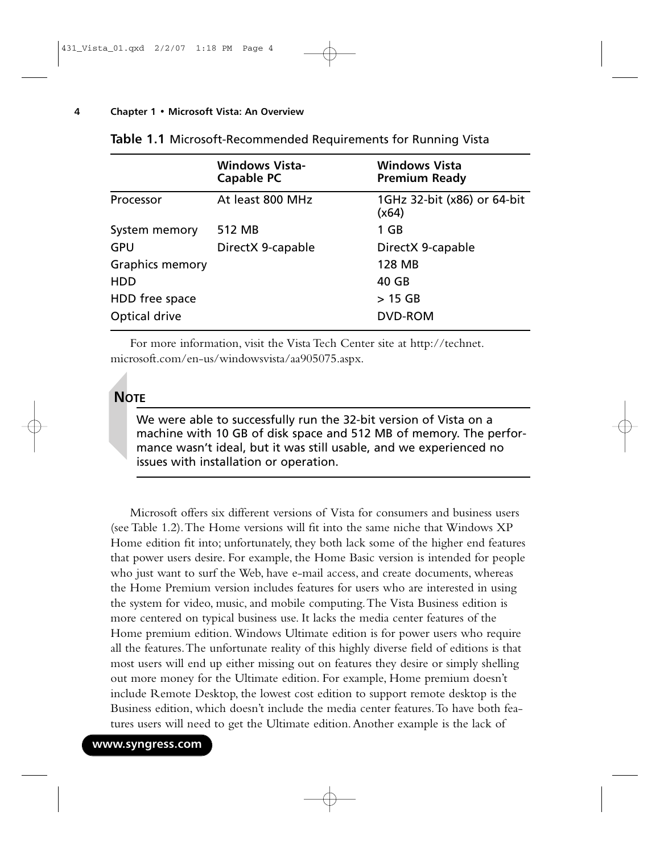|                 | <b>Windows Vista-</b><br>Capable PC | <b>Windows Vista</b><br><b>Premium Ready</b> |
|-----------------|-------------------------------------|----------------------------------------------|
| Processor       | At least 800 MHz                    | 1GHz 32-bit (x86) or 64-bit<br>(x64)         |
| System memory   | 512 MB                              | 1 GB                                         |
| <b>GPU</b>      | DirectX 9-capable                   | DirectX 9-capable                            |
| Graphics memory |                                     | 128 MB                                       |
| <b>HDD</b>      |                                     | 40 GB                                        |
| HDD free space  |                                     | > 15 GB                                      |
| Optical drive   |                                     | <b>DVD-ROM</b>                               |

**Table 1.1** Microsoft-Recommended Requirements for Running Vista

For more information, visit the Vista Tech Center site at http://technet. microsoft.com/en-us/windowsvista/aa905075.aspx.

#### **NOTE**

We were able to successfully run the 32-bit version of Vista on a machine with 10 GB of disk space and 512 MB of memory. The performance wasn't ideal, but it was still usable, and we experienced no issues with installation or operation.

Microsoft offers six different versions of Vista for consumers and business users (see Table 1.2).The Home versions will fit into the same niche that Windows XP Home edition fit into; unfortunately, they both lack some of the higher end features that power users desire. For example, the Home Basic version is intended for people who just want to surf the Web, have e-mail access, and create documents, whereas the Home Premium version includes features for users who are interested in using the system for video, music, and mobile computing.The Vista Business edition is more centered on typical business use. It lacks the media center features of the Home premium edition. Windows Ultimate edition is for power users who require all the features.The unfortunate reality of this highly diverse field of editions is that most users will end up either missing out on features they desire or simply shelling out more money for the Ultimate edition. For example, Home premium doesn't include Remote Desktop, the lowest cost edition to support remote desktop is the Business edition, which doesn't include the media center features.To have both features users will need to get the Ultimate edition.Another example is the lack of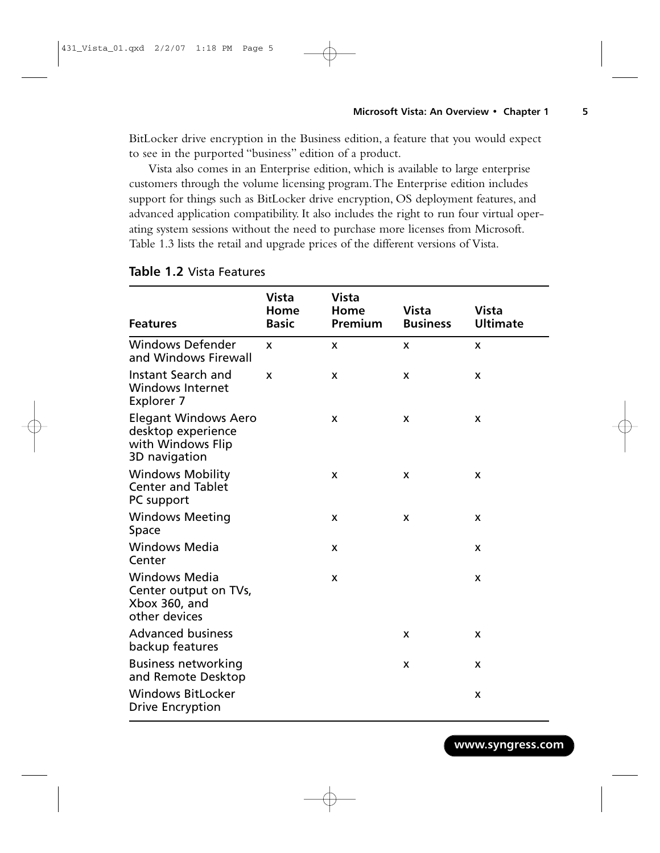BitLocker drive encryption in the Business edition, a feature that you would expect to see in the purported "business" edition of a product.

Vista also comes in an Enterprise edition, which is available to large enterprise customers through the volume licensing program.The Enterprise edition includes support for things such as BitLocker drive encryption, OS deployment features, and advanced application compatibility. It also includes the right to run four virtual operating system sessions without the need to purchase more licenses from Microsoft. Table 1.3 lists the retail and upgrade prices of the different versions of Vista.

| <b>Features</b>                                                                         | <b>Vista</b><br>Home<br><b>Basic</b> | <b>Vista</b><br>Home<br>Premium | Vista<br><b>Business</b> | <b>Vista</b><br><b>Ultimate</b> |
|-----------------------------------------------------------------------------------------|--------------------------------------|---------------------------------|--------------------------|---------------------------------|
| <b>Windows Defender</b><br>and Windows Firewall                                         | X                                    | X                               | X                        | X                               |
| Instant Search and<br><b>Windows Internet</b><br>Explorer 7                             | X                                    | X                               | X                        | X                               |
| <b>Elegant Windows Aero</b><br>desktop experience<br>with Windows Flip<br>3D navigation |                                      | X                               | X                        | X                               |
| <b>Windows Mobility</b><br><b>Center and Tablet</b><br>PC support                       |                                      | X                               | X                        | X                               |
| <b>Windows Meeting</b><br>Space                                                         |                                      | X                               | X                        | X                               |
| <b>Windows Media</b><br>Center                                                          |                                      | X                               |                          | X                               |
| <b>Windows Media</b><br>Center output on TVs,<br>Xbox 360, and<br>other devices         |                                      | X                               |                          | X                               |
| <b>Advanced business</b><br>backup features                                             |                                      |                                 | X                        | X                               |
| <b>Business networking</b><br>and Remote Desktop                                        |                                      |                                 | X                        | X                               |
| <b>Windows BitLocker</b><br><b>Drive Encryption</b>                                     |                                      |                                 |                          | X                               |

#### **Table 1.2** Vista Features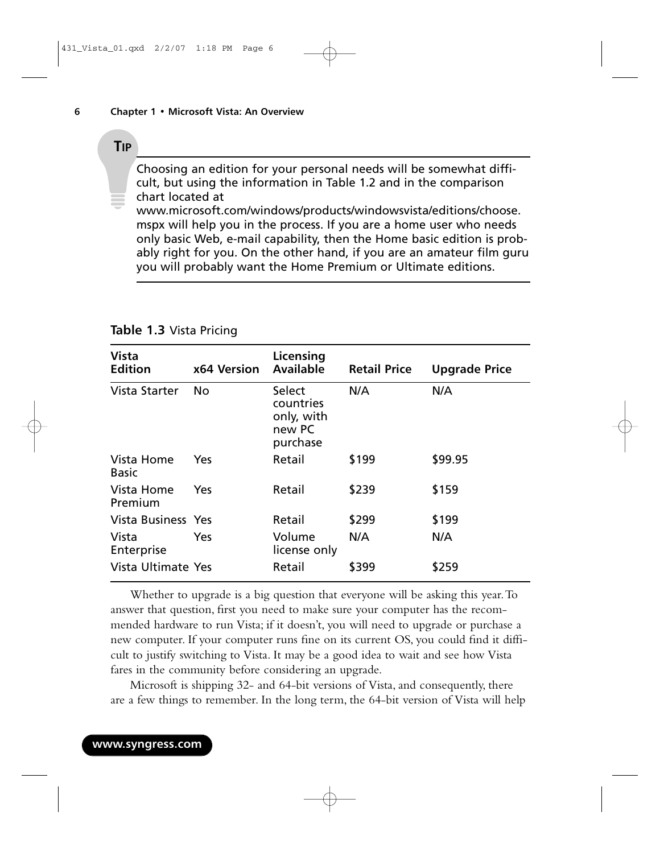#### **TIP**

Choosing an edition for your personal needs will be somewhat difficult, but using the information in Table 1.2 and in the comparison chart located at

www.microsoft.com/windows/products/windowsvista/editions/choose. mspx will help you in the process. If you are a home user who needs only basic Web, e-mail capability, then the Home basic edition is probably right for you. On the other hand, if you are an amateur film guru you will probably want the Home Premium or Ultimate editions.

| <b>Vista</b><br><b>Edition</b> | x64 Version | Licensing<br><b>Available</b>                           | <b>Retail Price</b> | <b>Upgrade Price</b> |
|--------------------------------|-------------|---------------------------------------------------------|---------------------|----------------------|
| Vista Starter                  | No.         | Select<br>countries<br>only, with<br>new PC<br>purchase | N/A                 | N/A                  |
| Vista Home<br><b>Basic</b>     | Yes         | Retail                                                  | \$199               | \$99.95              |
| Vista Home<br>Premium          | Yes         | Retail                                                  | \$239               | \$159                |
| Vista Business Yes             |             | Retail                                                  | \$299               | \$199                |
| Vista<br>Enterprise            | Yes         | Volume<br>license only                                  | N/A                 | N/A                  |
| Vista Ultimate Yes             |             | Retail                                                  | \$399               | \$259                |

#### **Table 1.3** Vista Pricing

Whether to upgrade is a big question that everyone will be asking this year.To answer that question, first you need to make sure your computer has the recommended hardware to run Vista; if it doesn't, you will need to upgrade or purchase a new computer. If your computer runs fine on its current OS, you could find it difficult to justify switching to Vista. It may be a good idea to wait and see how Vista fares in the community before considering an upgrade.

Microsoft is shipping 32- and 64-bit versions of Vista, and consequently, there are a few things to remember. In the long term, the 64-bit version of Vista will help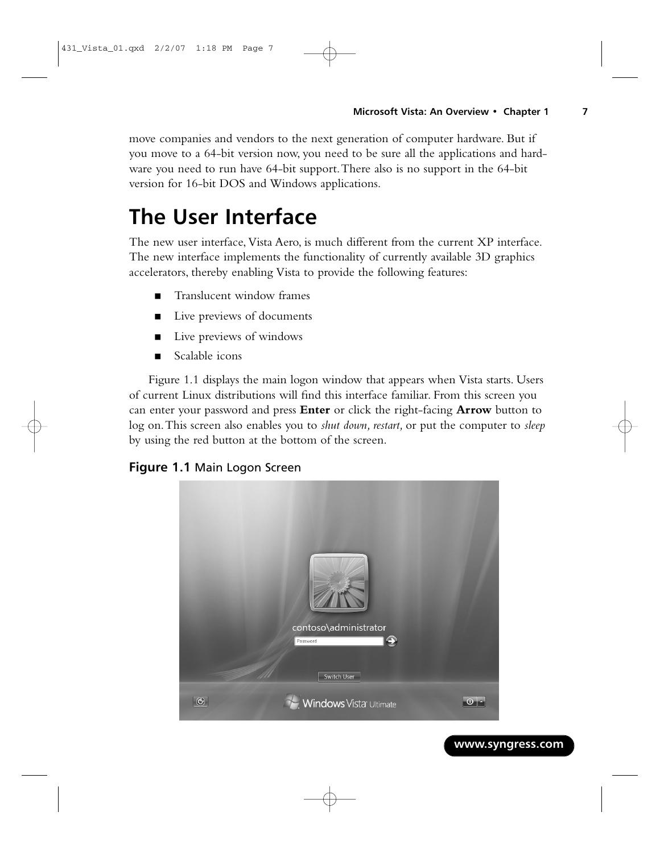**www.syngress.com**

move companies and vendors to the next generation of computer hardware. But if you move to a 64-bit version now, you need to be sure all the applications and hardware you need to run have 64-bit support.There also is no support in the 64-bit version for 16-bit DOS and Windows applications.

# **The User Interface**

The new user interface, Vista Aero, is much different from the current XP interface. The new interface implements the functionality of currently available 3D graphics accelerators, thereby enabling Vista to provide the following features:

- Translucent window frames
- Live previews of documents
- Live previews of windows
- Scalable icons

Figure 1.1 displays the main logon window that appears when Vista starts. Users of current Linux distributions will find this interface familiar. From this screen you can enter your password and press **Enter** or click the right-facing **Arrow** button to log on.This screen also enables you to *shut down, restart,* or put the computer to *sleep* by using the red button at the bottom of the screen.

#### **Figure 1.1** Main Logon Screen

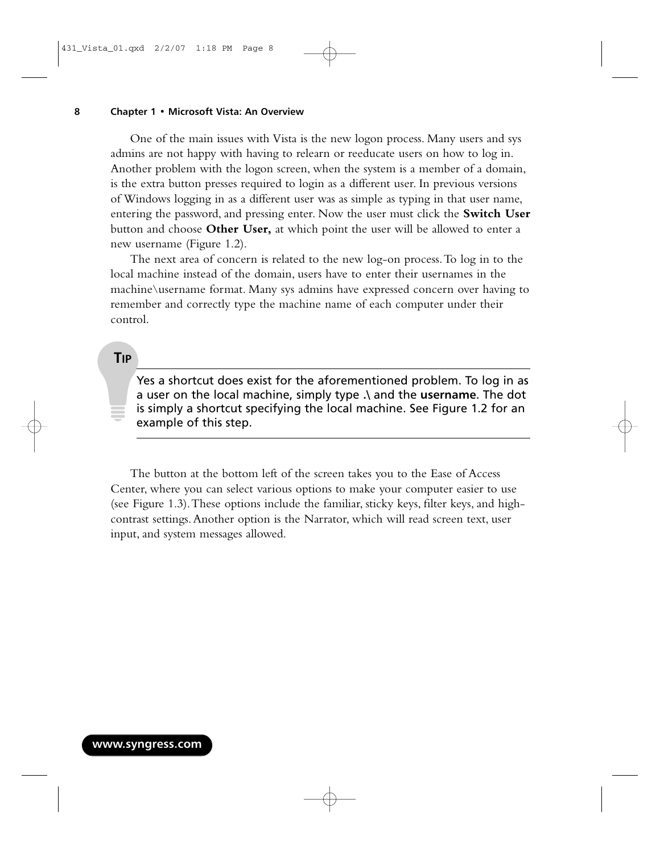One of the main issues with Vista is the new logon process. Many users and sys admins are not happy with having to relearn or reeducate users on how to log in. Another problem with the logon screen, when the system is a member of a domain, is the extra button presses required to login as a different user. In previous versions of Windows logging in as a different user was as simple as typing in that user name, entering the password, and pressing enter. Now the user must click the **Switch User** button and choose **Other User,** at which point the user will be allowed to enter a new username (Figure 1.2).

The next area of concern is related to the new log-on process.To log in to the local machine instead of the domain, users have to enter their usernames in the machine\username format. Many sys admins have expressed concern over having to remember and correctly type the machine name of each computer under their control.

#### **TIP**

Yes a shortcut does exist for the aforementioned problem. To log in as a user on the local machine, simply type **.\** and the **username**. The dot is simply a shortcut specifying the local machine. See Figure 1.2 for an example of this step.

The button at the bottom left of the screen takes you to the Ease of Access Center, where you can select various options to make your computer easier to use (see Figure 1.3).These options include the familiar, sticky keys, filter keys, and highcontrast settings.Another option is the Narrator, which will read screen text, user input, and system messages allowed.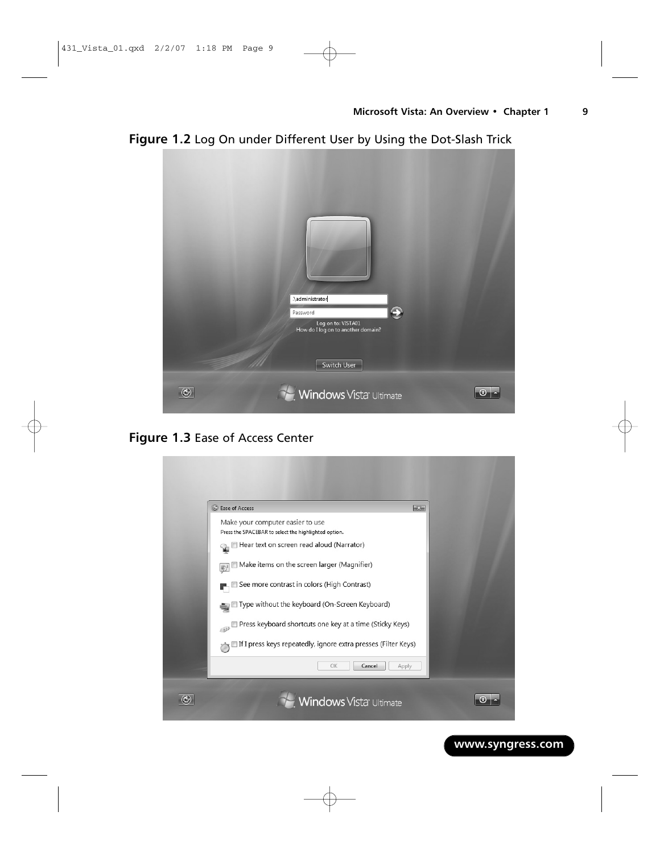

**Figure 1.2** Log On under Different User by Using the Dot-Slash Trick

**Figure 1.3** Ease of Access Center

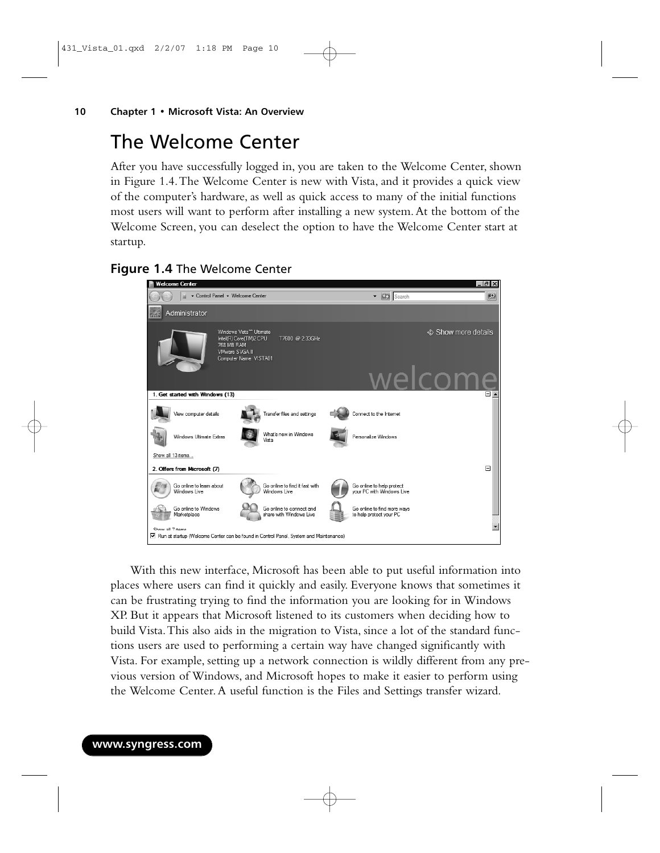### The Welcome Center

After you have successfully logged in, you are taken to the Welcome Center, shown in Figure 1.4.The Welcome Center is new with Vista, and it provides a quick view of the computer's hardware, as well as quick access to many of the initial functions most users will want to perform after installing a new system.At the bottom of the Welcome Screen, you can deselect the option to have the Welcome Center start at startup.

### **Figure 1.4** The Welcome Center



With this new interface, Microsoft has been able to put useful information into places where users can find it quickly and easily. Everyone knows that sometimes it can be frustrating trying to find the information you are looking for in Windows XP. But it appears that Microsoft listened to its customers when deciding how to build Vista.This also aids in the migration to Vista, since a lot of the standard functions users are used to performing a certain way have changed significantly with Vista. For example, setting up a network connection is wildly different from any previous version of Windows, and Microsoft hopes to make it easier to perform using the Welcome Center.A useful function is the Files and Settings transfer wizard.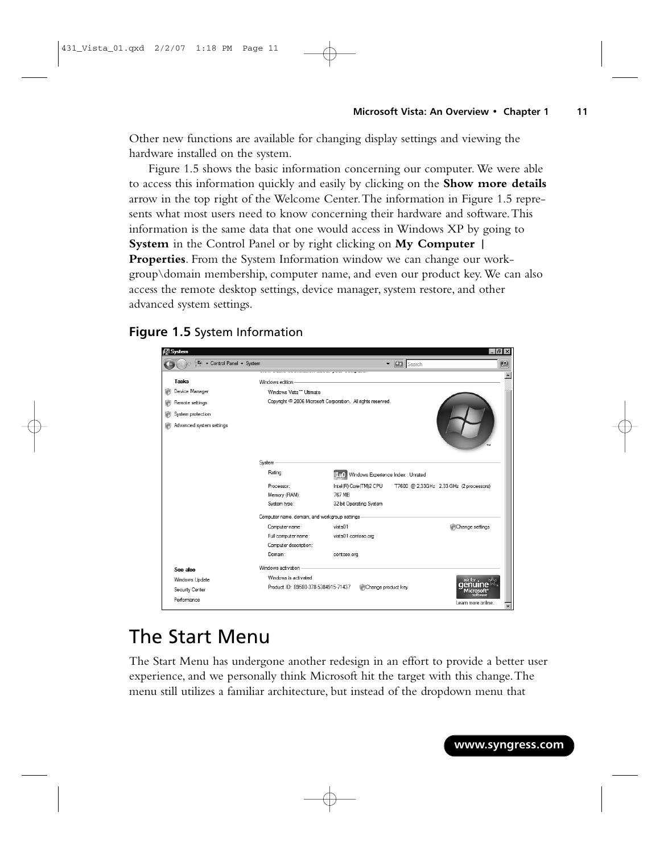Other new functions are available for changing display settings and viewing the hardware installed on the system.

Figure 1.5 shows the basic information concerning our computer. We were able to access this information quickly and easily by clicking on the **Show more details** arrow in the top right of the Welcome Center.The information in Figure 1.5 represents what most users need to know concerning their hardware and software.This information is the same data that one would access in Windows XP by going to **System** in the Control Panel or by right clicking on **My Computer | Properties**. From the System Information window we can change our workgroup\domain membership, computer name, and even our product key. We can also access the remote desktop settings, device manager, system restore, and other advanced system settings.

### **Figure 1.5** System Information

| System                      |                                                              |                                             | - 10   x                                |
|-----------------------------|--------------------------------------------------------------|---------------------------------------------|-----------------------------------------|
| Control Panel - System<br>м |                                                              | $\left  \frac{1}{2} \right $ Search         | $\mathbf{Q}$                            |
| Tasks                       | Windows edition                                              |                                             | $\overline{\phantom{a}}$                |
| Device Manager              | Windows Vista <sup>**</sup> Ultimate                         |                                             |                                         |
|                             | Copyright @ 2006 Microsoft Corporation. All rights reserved. |                                             |                                         |
| Remote settings             |                                                              |                                             |                                         |
| System protection           |                                                              |                                             |                                         |
| Advanced system settings    |                                                              |                                             |                                         |
|                             | System                                                       |                                             |                                         |
|                             | Rating:                                                      | [[1] (1) Windows Experience Index : Unrated |                                         |
|                             | Processor:                                                   | Intel(R) Core(TM)2 CPU                      | T7600 @ 2.33GHz 2.33 GHz (2 processors) |
|                             | Memory (RAM):                                                | 767 MB                                      |                                         |
|                             | System type:                                                 | 32-bit Operating System                     |                                         |
|                             | Computer name, domain, and workgroup settings                |                                             |                                         |
|                             | Computer name:                                               | vista01                                     | Change settings                         |
|                             | Full computer name:                                          | vista01.contoso.org                         |                                         |
|                             | Computer description:                                        |                                             |                                         |
|                             | Domain:                                                      | contoso.org                                 |                                         |
| See also                    | Windows activation                                           |                                             |                                         |
| Windows Update              | Windows is activated                                         |                                             |                                         |
| Security Center             | Product ID: 89580-378-5384915-71437                          | Change product key                          | Microsoft                               |
| Performance                 |                                                              |                                             | software<br>Leam more online            |

# The Start Menu

The Start Menu has undergone another redesign in an effort to provide a better user experience, and we personally think Microsoft hit the target with this change.The menu still utilizes a familiar architecture, but instead of the dropdown menu that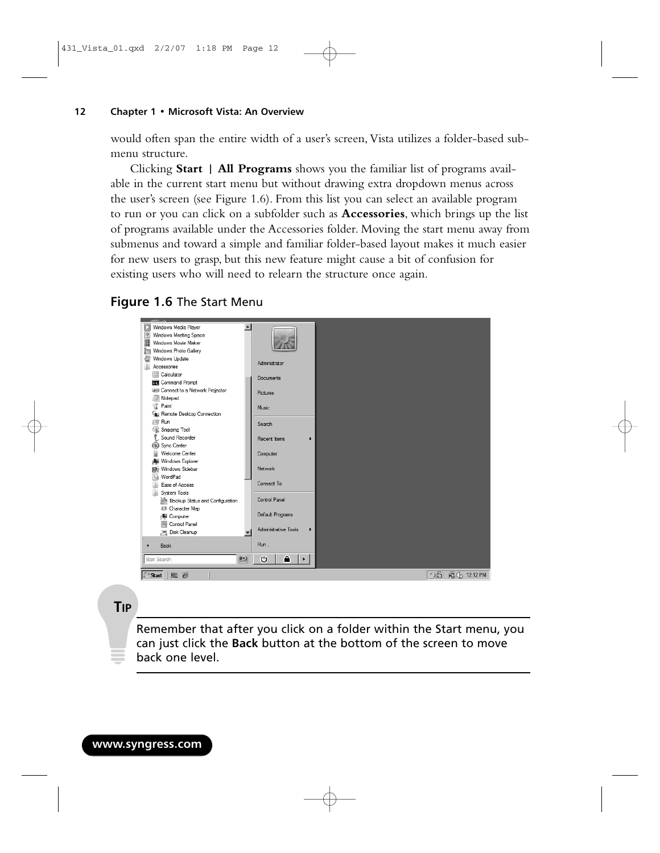#### **12 Chapter 1 • Microsoft Vista: An Overview**

would often span the entire width of a user's screen, Vista utilizes a folder-based submenu structure.

Clicking **Start | All Programs** shows you the familiar list of programs available in the current start menu but without drawing extra dropdown menus across the user's screen (see Figure 1.6). From this list you can select an available program to run or you can click on a subfolder such as **Accessories**, which brings up the list of programs available under the Accessories folder. Moving the start menu away from submenus and toward a simple and familiar folder-based layout makes it much easier for new users to grasp, but this new feature might cause a bit of confusion for existing users who will need to relearn the structure once again.

#### **Figure 1.6** The Start Menu



**TIP**

Remember that after you click on a folder within the Start menu, you can just click the **Back** button at the bottom of the screen to move back one level.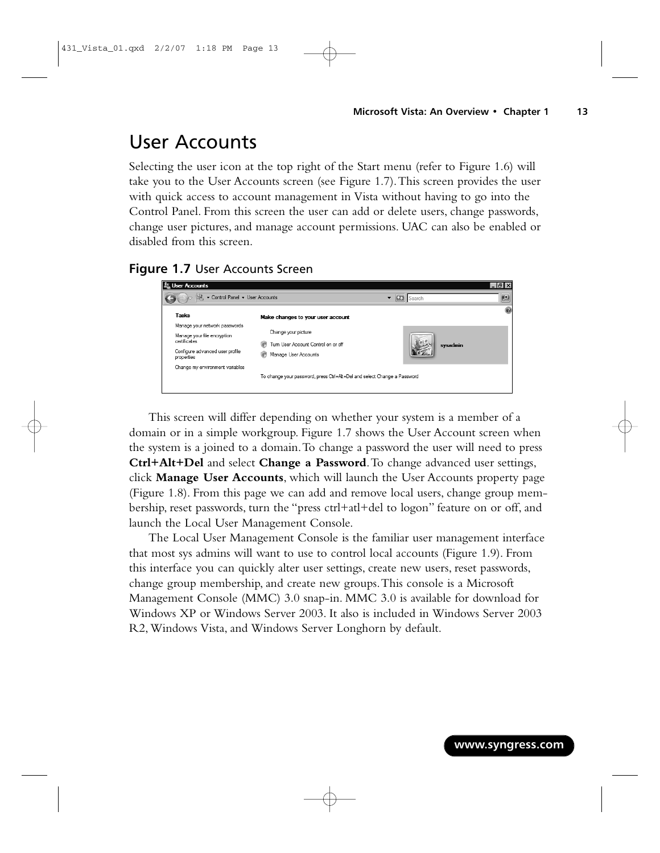### User Accounts

Selecting the user icon at the top right of the Start menu (refer to Figure 1.6) will take you to the User Accounts screen (see Figure 1.7).This screen provides the user with quick access to account management in Vista without having to go into the Control Panel. From this screen the user can add or delete users, change passwords, change user pictures, and manage account permissions. UAC can also be enabled or disabled from this screen.

### **Figure 1.7** User Accounts Screen

| <b>User Accounts</b>                          |                                                                          |          | 15 I X |
|-----------------------------------------------|--------------------------------------------------------------------------|----------|--------|
| ▼ Control Panel ▼ User Accounts               |                                                                          | Search   |        |
| Tasks                                         | Make changes to your user account                                        |          |        |
| Manage your network passwords                 |                                                                          |          |        |
| Manage your file encryption                   | Change your picture                                                      |          |        |
| certificates                                  | Tum User Account Control on or off                                       | sysadmin |        |
| Configure advanced user profile<br>properties | Manage User Accounts                                                     |          |        |
| Change my environment variables               |                                                                          |          |        |
|                                               | To change your password, press Ctrl+Alt+Del and select Change a Password |          |        |
|                                               |                                                                          |          |        |

This screen will differ depending on whether your system is a member of a domain or in a simple workgroup. Figure 1.7 shows the User Account screen when the system is a joined to a domain.To change a password the user will need to press **Ctrl+Alt+Del** and select **Change a Password**.To change advanced user settings, click **Manage User Accounts**, which will launch the User Accounts property page (Figure 1.8). From this page we can add and remove local users, change group membership, reset passwords, turn the "press ctrl+atl+del to logon" feature on or off, and launch the Local User Management Console.

The Local User Management Console is the familiar user management interface that most sys admins will want to use to control local accounts (Figure 1.9). From this interface you can quickly alter user settings, create new users, reset passwords, change group membership, and create new groups.This console is a Microsoft Management Console (MMC) 3.0 snap-in. MMC 3.0 is available for download for Windows XP or Windows Server 2003. It also is included in Windows Server 2003 R2, Windows Vista, and Windows Server Longhorn by default.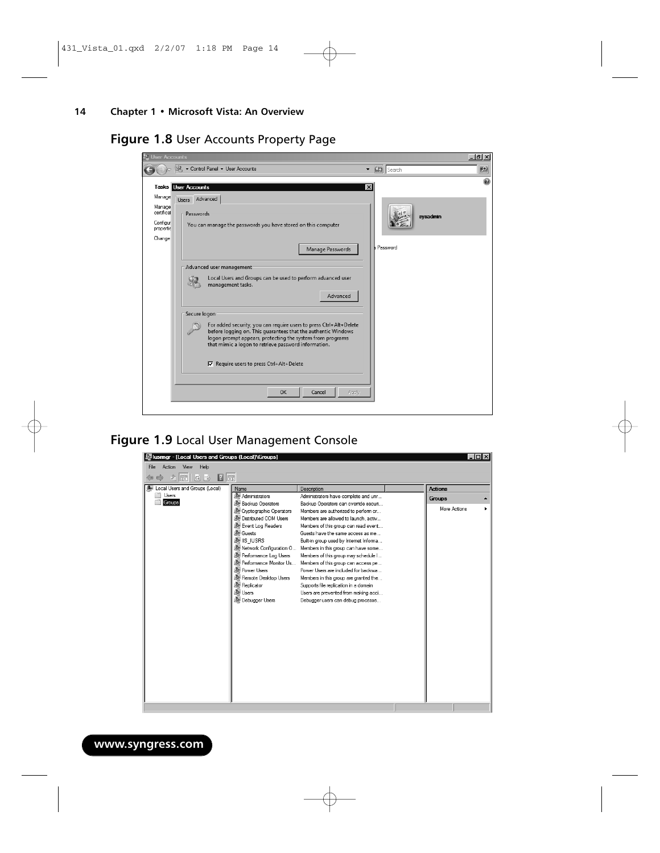**Figure 1.8** User Accounts Property Page

| <b>St. User Accounts</b> |                                                                                                                            |          | $ B$ $\times$ |
|--------------------------|----------------------------------------------------------------------------------------------------------------------------|----------|---------------|
|                          | Control Panel - User Accounts<br>$\overline{\phantom{a}}$                                                                  | Search   | $\mathbf{P}$  |
|                          |                                                                                                                            |          |               |
|                          | <b>Tasks User Accounts</b><br>$\boldsymbol{\mathsf{x}}$                                                                    |          |               |
| Manage                   | Users Advanced                                                                                                             |          |               |
| Manage<br>certifical     | Passwords <sup>®</sup>                                                                                                     | sysadmin |               |
| Configur<br>propertie    | You can manage the passwords you have stored on this computer                                                              |          |               |
| Change                   |                                                                                                                            |          |               |
|                          | Manage Passwords                                                                                                           | Password |               |
|                          |                                                                                                                            |          |               |
|                          | Advanced user management                                                                                                   |          |               |
|                          | Local Users and Groups can be used to perform advanced user<br>management tasks.                                           |          |               |
|                          | Advanced                                                                                                                   |          |               |
|                          |                                                                                                                            |          |               |
|                          | Secure logon                                                                                                               |          |               |
|                          | For added security, you can require users to press Ctrl+Alt+Delete                                                         |          |               |
|                          | before logging on. This quarantees that the authentic Windows<br>logon prompt appears, protecting the system from programs |          |               |
|                          | that mimic a logon to retrieve password information.                                                                       |          |               |
|                          |                                                                                                                            |          |               |
|                          | $\nabla$ Require users to press Ctrl+Alt+Delete                                                                            |          |               |
|                          |                                                                                                                            |          |               |
|                          | Cancel<br><b>OK</b><br>Apply                                                                                               |          |               |
|                          |                                                                                                                            |          |               |
|                          |                                                                                                                            |          |               |

#### **Figure 1.9** Local User Management Console

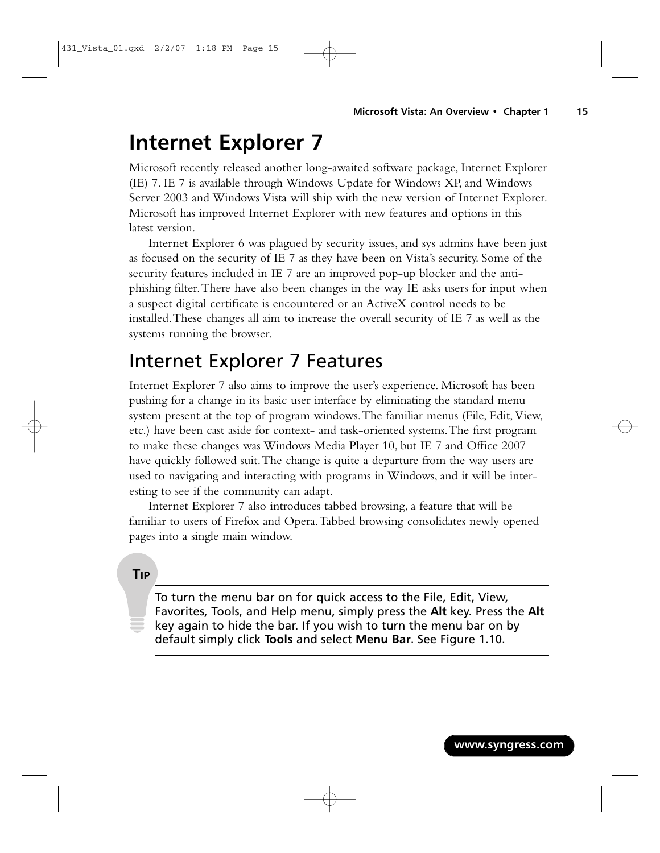# **Internet Explorer 7**

Microsoft recently released another long-awaited software package, Internet Explorer (IE) 7. IE 7 is available through Windows Update for Windows XP, and Windows Server 2003 and Windows Vista will ship with the new version of Internet Explorer. Microsoft has improved Internet Explorer with new features and options in this latest version.

Internet Explorer 6 was plagued by security issues, and sys admins have been just as focused on the security of IE 7 as they have been on Vista's security. Some of the security features included in IE 7 are an improved pop-up blocker and the antiphishing filter.There have also been changes in the way IE asks users for input when a suspect digital certificate is encountered or an ActiveX control needs to be installed.These changes all aim to increase the overall security of IE 7 as well as the systems running the browser.

### Internet Explorer 7 Features

Internet Explorer 7 also aims to improve the user's experience. Microsoft has been pushing for a change in its basic user interface by eliminating the standard menu system present at the top of program windows.The familiar menus (File, Edit, View, etc.) have been cast aside for context- and task-oriented systems.The first program to make these changes was Windows Media Player 10, but IE 7 and Office 2007 have quickly followed suit.The change is quite a departure from the way users are used to navigating and interacting with programs in Windows, and it will be interesting to see if the community can adapt.

Internet Explorer 7 also introduces tabbed browsing, a feature that will be familiar to users of Firefox and Opera.Tabbed browsing consolidates newly opened pages into a single main window.

### **TIP**

To turn the menu bar on for quick access to the File, Edit, View, Favorites, Tools, and Help menu, simply press the **Alt** key. Press the **Alt** key again to hide the bar. If you wish to turn the menu bar on by default simply click **Tools** and select **Menu Bar**. See Figure 1.10.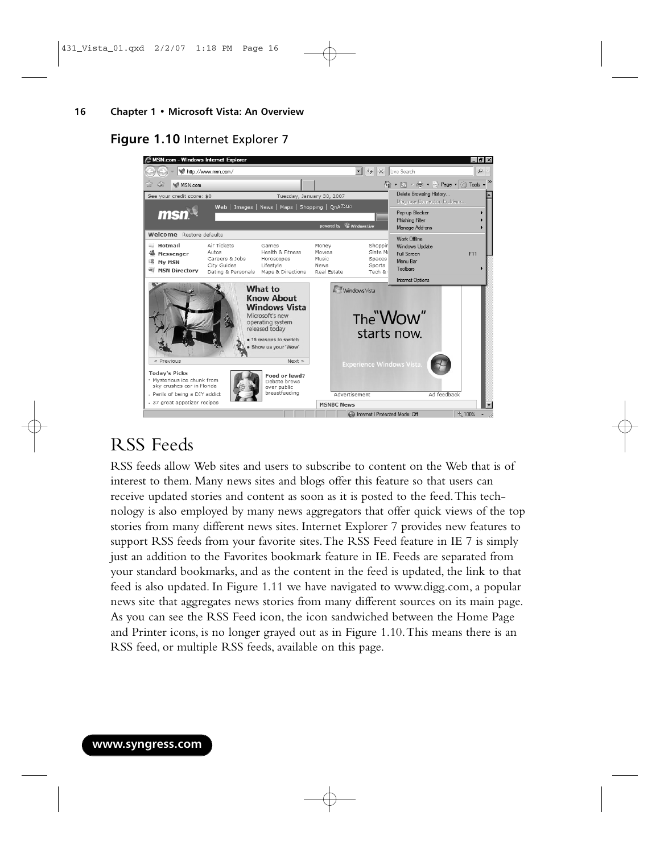### **Figure 1.10** Internet Explorer 7



### RSS Feeds

RSS feeds allow Web sites and users to subscribe to content on the Web that is of interest to them. Many news sites and blogs offer this feature so that users can receive updated stories and content as soon as it is posted to the feed.This technology is also employed by many news aggregators that offer quick views of the top stories from many different news sites. Internet Explorer 7 provides new features to support RSS feeds from your favorite sites.The RSS Feed feature in IE 7 is simply just an addition to the Favorites bookmark feature in IE. Feeds are separated from your standard bookmarks, and as the content in the feed is updated, the link to that feed is also updated. In Figure 1.11 we have navigated to www.digg.com, a popular news site that aggregates news stories from many different sources on its main page. As you can see the RSS Feed icon, the icon sandwiched between the Home Page and Printer icons, is no longer grayed out as in Figure 1.10.This means there is an RSS feed, or multiple RSS feeds, available on this page.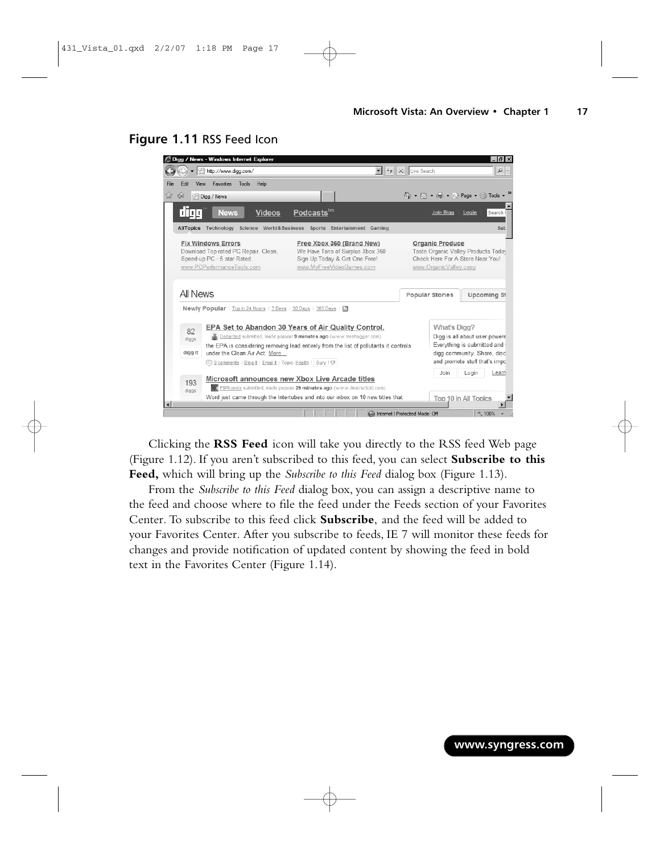

### **Figure 1.11** RSS Feed Icon

Clicking the **RSS Feed** icon will take you directly to the RSS feed Web page (Figure 1.12). If you aren't subscribed to this feed, you can select **Subscribe to this Feed,** which will bring up the *Subscribe to this Feed* dialog box (Figure 1.13).

From the *Subscribe to this Feed* dialog box, you can assign a descriptive name to the feed and choose where to file the feed under the Feeds section of your Favorites Center*.* To subscribe to this feed click **Subscribe**, and the feed will be added to your Favorites Center*.* After you subscribe to feeds, IE 7 will monitor these feeds for changes and provide notification of updated content by showing the feed in bold text in the Favorites Center (Figure 1.14).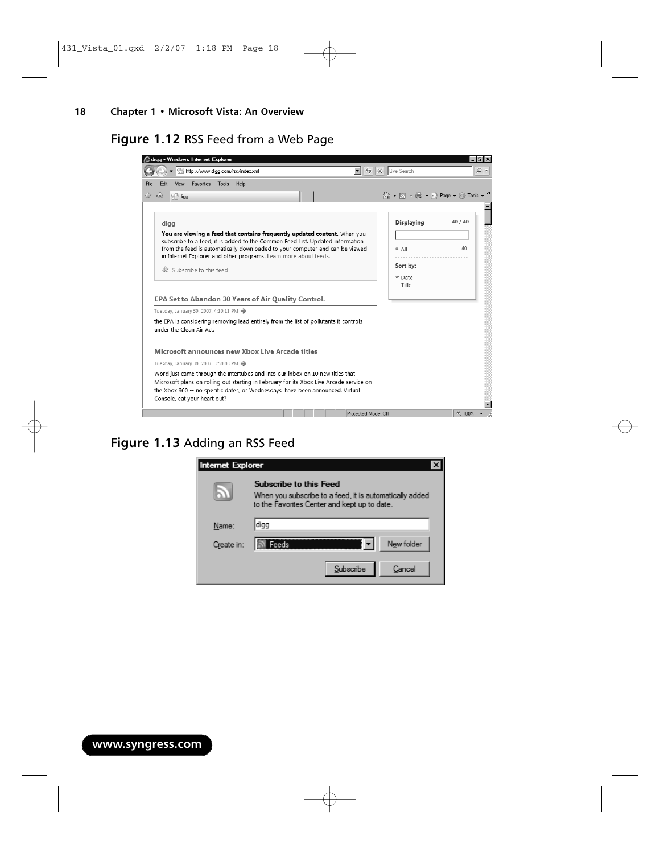**Figure 1.12** RSS Feed from a Web Page

|                         | http://www.digg.com/rss/index.xml                                                                                                                                                                                                                                                                                        | $\blacktriangleright$ $\blacklozenge$ $\blacklozenge$ $\blacktriangleright$ $\blacktriangleright$ $\blacktriangleright$ Live Search | $\rho$ . |
|-------------------------|--------------------------------------------------------------------------------------------------------------------------------------------------------------------------------------------------------------------------------------------------------------------------------------------------------------------------|-------------------------------------------------------------------------------------------------------------------------------------|----------|
| Fdit<br>File<br>☆<br>45 | Favorites Tools Help<br><b>View</b><br>$\mathbb{R}$ digg<br>digg<br>You are viewing a feed that contains frequently updated content. When you                                                                                                                                                                            | <b>个 → 同 → 曲 → n</b> Page → ① Tools →<br><b>Displaying</b>                                                                          | 40/40    |
|                         | subscribe to a feed, it is added to the Common Feed List. Updated information<br>from the feed is automatically downloaded to your computer and can be viewed<br>in Internet Explorer and other programs. Learn more about feeds.<br>दक्षि Subscribe to this feed<br>EPA Set to Abandon 30 Years of Air Quality Control. | $0 \Delta$<br>Sort by:<br>$\nabla$ Date<br>Title                                                                                    | ΔO       |
|                         | Tuesday, January 30, 2007, 4:10:11 PM →                                                                                                                                                                                                                                                                                  |                                                                                                                                     |          |
|                         | the EPA is considering removing lead entirely from the list of pollutants it controls<br>under the Clean Air Act.                                                                                                                                                                                                        |                                                                                                                                     |          |
|                         | Microsoft announces new Xbox Live Arcade titles                                                                                                                                                                                                                                                                          |                                                                                                                                     |          |
|                         | Tuesday, January 30, 2007, 3:50:03 PM >                                                                                                                                                                                                                                                                                  |                                                                                                                                     |          |
|                         | Word just came through the Intertubes and into our inbox on 10 new titles that<br>Microsoft plans on rolling out starting in February for its Xbox Live Arcade service on                                                                                                                                                |                                                                                                                                     |          |

### **Figure 1.13** Adding an RSS Feed

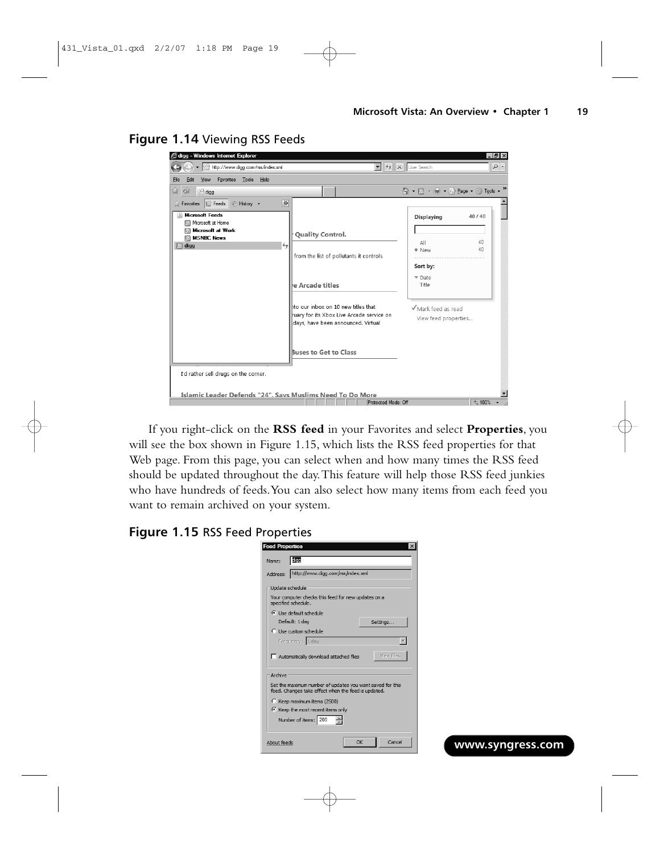| e digg - Windows Internet Explorer<br>http://www.digg.com/rss/index.xml                                                                                   |                                                                                                                        | $\blacktriangleright$ $\blacklozenge$ X Live Search                         | Ð<br>$\rho$ .     |
|-----------------------------------------------------------------------------------------------------------------------------------------------------------|------------------------------------------------------------------------------------------------------------------------|-----------------------------------------------------------------------------|-------------------|
| Tools Help<br>Favorites<br>View<br>File<br>Edit<br>☆<br>द्गीर<br>$99$ digg                                                                                |                                                                                                                        | ☆・⊠・●・☆Page・◎Tools・                                                         |                   |
| In Feeds <b>D</b> History ▼<br>Favorites<br><b>Microsoft Feeds</b><br>Microsoft at Home<br><b>Nicrosoft at Work</b><br><b>SINSNBC News</b><br>$\Box$ digg | $\Rightarrow$<br>Quality Control.<br>$\frac{2}{3}$<br>from the list of pollutants it controls<br>e Arcade titles       | Displaying<br>All<br><sup>®</sup> New<br>Sort by:<br>$\nabla$ Date<br>Title | 40/40<br>40<br>40 |
|                                                                                                                                                           | hto our inbox on 10 new titles that<br>ruary for its Xbox Live Arcade service on<br>days, have been announced. Virtual | √Mark feed as read<br>View feed properties                                  |                   |
| I'd rather sell drugs on the corner.                                                                                                                      | <b>Buses to Get to Class</b>                                                                                           |                                                                             |                   |
|                                                                                                                                                           | Islamic Leader Defends "24". Says Muslims Need To Do More<br>Protected Mode: Off                                       |                                                                             | $+100%$           |

### **Figure 1.14** Viewing RSS Feeds

If you right-click on the **RSS feed** in your Favorites and select **Properties**, you will see the box shown in Figure 1.15, which lists the RSS feed properties for that Web page. From this page, you can select when and how many times the RSS feed should be updated throughout the day.This feature will help those RSS feed junkies who have hundreds of feeds.You can also select how many items from each feed you want to remain archived on your system.

#### **Figure 1.15** RSS Feed Properties

| <b>Feed Properties</b> |                                                                                                                  |    |            |  |
|------------------------|------------------------------------------------------------------------------------------------------------------|----|------------|--|
| Name:                  | diaa                                                                                                             |    |            |  |
| Address:               | http://www.digg.com/rss/index.xml                                                                                |    |            |  |
| Update schedule        |                                                                                                                  |    |            |  |
|                        | Your computer checks this feed for new updates on a<br>specified schedule.                                       |    |            |  |
|                        | C Lise default schedule                                                                                          |    |            |  |
|                        | Default: 1 day                                                                                                   |    | Settings   |  |
|                        | C. Use custom schedule                                                                                           |    |            |  |
|                        | Frequency: 1 day                                                                                                 |    |            |  |
|                        | Automatically download attached files                                                                            |    | View files |  |
| Archive                |                                                                                                                  |    |            |  |
|                        | Set the maximum number of updates you want saved for this<br>feed. Changes take effect when the feed is updated. |    |            |  |
|                        | C Keep maximum items (2500)                                                                                      |    |            |  |
|                        | Keep the most recent items only                                                                                  |    |            |  |
|                        | Number of items: 200                                                                                             |    |            |  |
| About feeds            |                                                                                                                  | OK | Cancel     |  |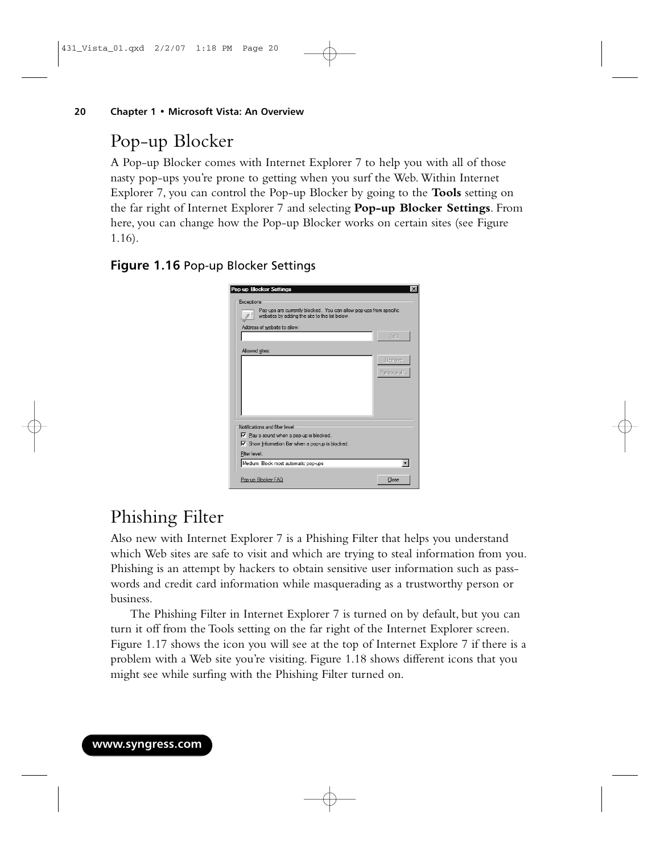### Pop-up Blocker

A Pop-up Blocker comes with Internet Explorer 7 to help you with all of those nasty pop-ups you're prone to getting when you surf the Web. Within Internet Explorer 7, you can control the Pop-up Blocker by going to the **Tools** setting on the far right of Internet Explorer 7 and selecting **Pop-up Blocker Settings**. From here, you can change how the Pop-up Blocker works on certain sites (see Figure 1.16).

|                                | Address of website to allow:                            | websites by adding the site to the list below. |  |             |
|--------------------------------|---------------------------------------------------------|------------------------------------------------|--|-------------|
|                                |                                                         |                                                |  | Add         |
| Allowed sites:                 |                                                         |                                                |  |             |
|                                |                                                         |                                                |  | Remove      |
|                                |                                                         |                                                |  | Remove all. |
|                                |                                                         |                                                |  |             |
|                                |                                                         |                                                |  |             |
|                                |                                                         |                                                |  |             |
|                                |                                                         |                                                |  |             |
| Notifications and filter level |                                                         |                                                |  |             |
|                                | $\nabla$ Play a sound when a pop-up is blocked.         |                                                |  |             |
|                                | $\nabla$ Show Information Bar when a pop-up is blocked. |                                                |  |             |

### **Figure 1.16** Pop-up Blocker Settings

### Phishing Filter

Also new with Internet Explorer 7 is a Phishing Filter that helps you understand which Web sites are safe to visit and which are trying to steal information from you. Phishing is an attempt by hackers to obtain sensitive user information such as passwords and credit card information while masquerading as a trustworthy person or business.

The Phishing Filter in Internet Explorer 7 is turned on by default, but you can turn it off from the Tools setting on the far right of the Internet Explorer screen. Figure 1.17 shows the icon you will see at the top of Internet Explore 7 if there is a problem with a Web site you're visiting. Figure 1.18 shows different icons that you might see while surfing with the Phishing Filter turned on.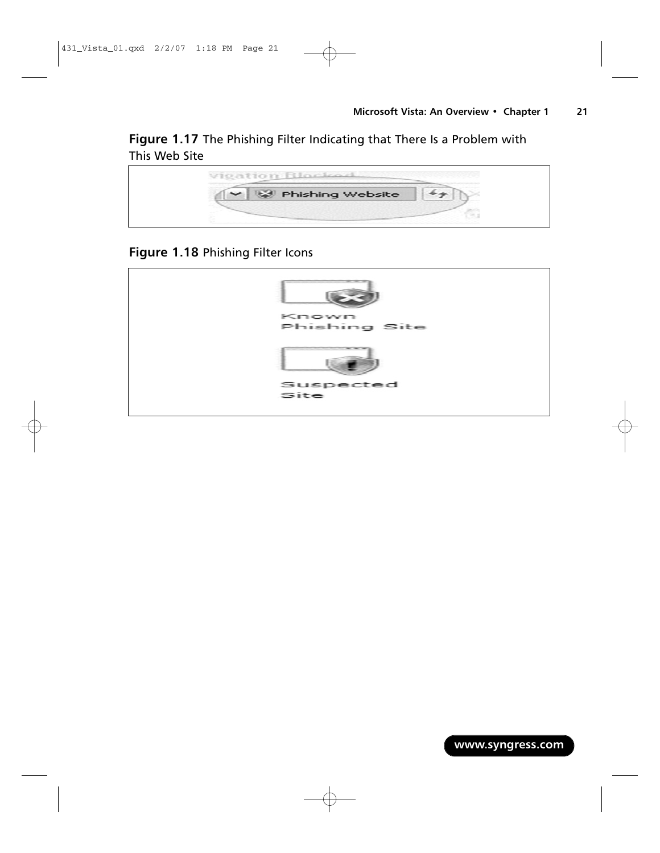**Figure 1.17** The Phishing Filter Indicating that There Is a Problem with This Web Site



### **Figure 1.18** Phishing Filter Icons



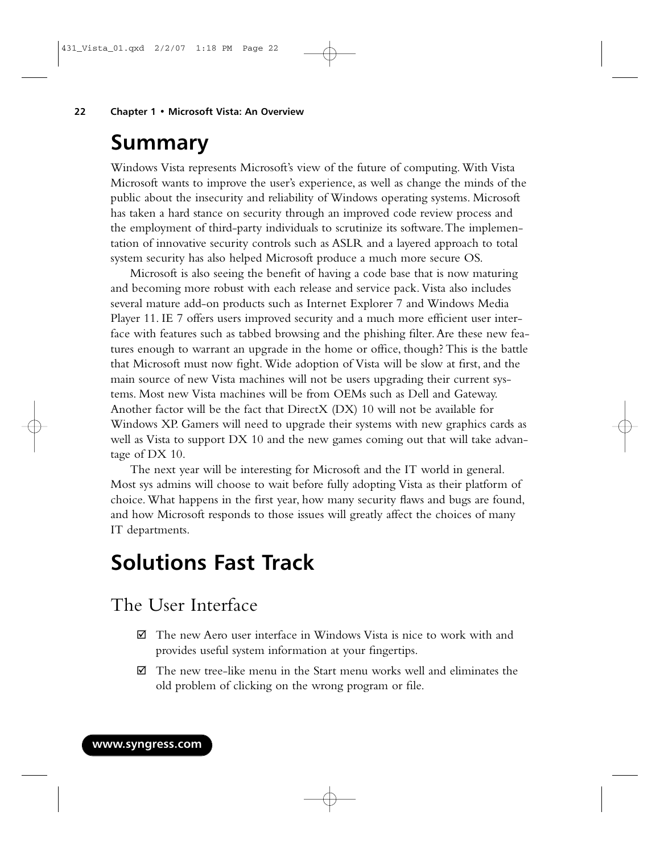# **Summary**

Windows Vista represents Microsoft's view of the future of computing. With Vista Microsoft wants to improve the user's experience, as well as change the minds of the public about the insecurity and reliability of Windows operating systems. Microsoft has taken a hard stance on security through an improved code review process and the employment of third-party individuals to scrutinize its software.The implementation of innovative security controls such as ASLR and a layered approach to total system security has also helped Microsoft produce a much more secure OS.

Microsoft is also seeing the benefit of having a code base that is now maturing and becoming more robust with each release and service pack. Vista also includes several mature add-on products such as Internet Explorer 7 and Windows Media Player 11. IE 7 offers users improved security and a much more efficient user interface with features such as tabbed browsing and the phishing filter.Are these new features enough to warrant an upgrade in the home or office, though? This is the battle that Microsoft must now fight. Wide adoption of Vista will be slow at first, and the main source of new Vista machines will not be users upgrading their current systems. Most new Vista machines will be from OEMs such as Dell and Gateway. Another factor will be the fact that DirectX (DX) 10 will not be available for Windows XP. Gamers will need to upgrade their systems with new graphics cards as well as Vista to support DX 10 and the new games coming out that will take advantage of DX 10.

The next year will be interesting for Microsoft and the IT world in general. Most sys admins will choose to wait before fully adopting Vista as their platform of choice. What happens in the first year, how many security flaws and bugs are found, and how Microsoft responds to those issues will greatly affect the choices of many IT departments.

# **Solutions Fast Track**

### The User Interface

- The new Aero user interface in Windows Vista is nice to work with and provides useful system information at your fingertips.
- The new tree-like menu in the Start menu works well and eliminates the old problem of clicking on the wrong program or file.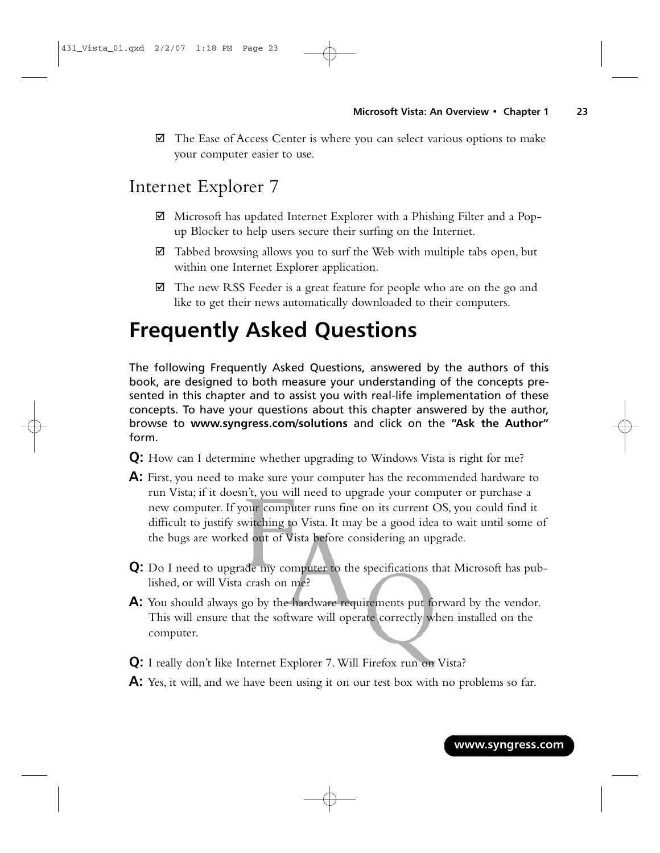□ The Ease of Access Center is where you can select various options to make your computer easier to use.

### Internet Explorer 7

- Microsoft has updated Internet Explorer with a Phishing Filter and a Popup Blocker to help users secure their surfing on the Internet.
- Tabbed browsing allows you to surf the Web with multiple tabs open, but within one Internet Explorer application.
- The new RSS Feeder is a great feature for people who are on the go and like to get their news automatically downloaded to their computers.

## **Frequently Asked Questions**

The following Frequently Asked Questions, answered by the authors of this book, are designed to both measure your understanding of the concepts presented in this chapter and to assist you with real-life implementation of these concepts. To have your questions about this chapter answered by the author, browse to **www.syngress.com/solutions** and click on the **"Ask the Author"** form.

- **Q:** How can I determine whether upgrading to Windows Vista is right for me?
- **A:** First, you need to make sure your computer has the recommended hardware to run Vista; if it doesn't, you will need to upgrade your computer or purchase a new computer. If your computer runs fine on its current OS, you could find it difficult to justify switching to Vista. It may be a good idea to wait until some of the bugs are worked out of Vista before considering an upgrade.
- **Q:** Do I need to upgrade my computer to the specifications that Microsoft has published, or will Vista crash on me?
- **A:** You should always go by the hardware requirements put forward by the vendor. This will ensure that the software will operate correctly when installed on the computer.
- **Q:** I really don't like Internet Explorer 7. Will Firefox run on Vista?
- **A:** Yes, it will, and we have been using it on our test box with no problems so far.